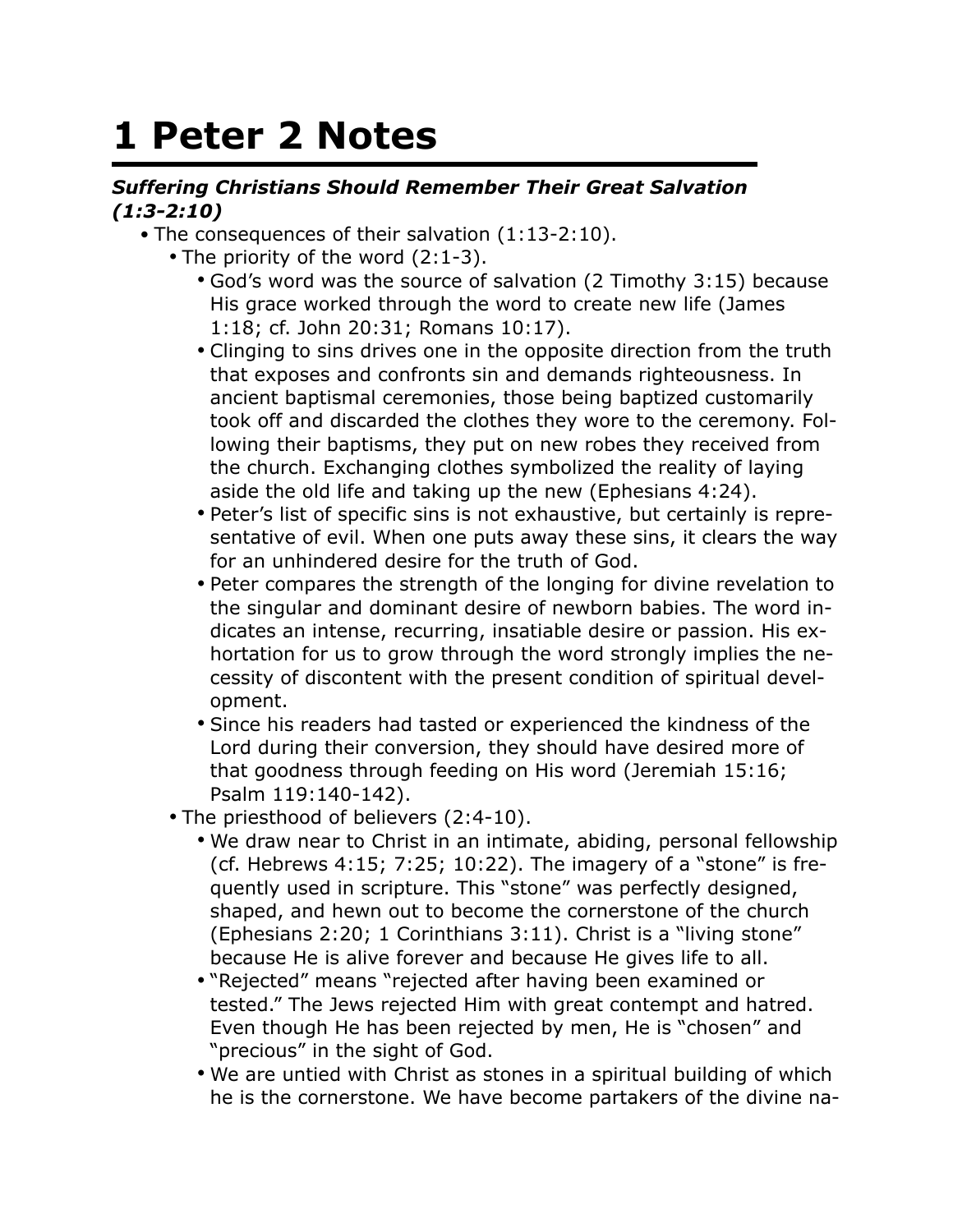## **1 Peter 2 Notes**

## *Suffering Christians Should Remember Their Great Salvation (1:3-2:10)*

- The consequences of their salvation (1:13-2:10).
	- The priority of the word (2:1-3).
		- God's word was the source of salvation (2 Timothy 3:15) because His grace worked through the word to create new life (James 1:18; cf. John 20:31; Romans 10:17).
		- Clinging to sins drives one in the opposite direction from the truth that exposes and confronts sin and demands righteousness. In ancient baptismal ceremonies, those being baptized customarily took off and discarded the clothes they wore to the ceremony. Following their baptisms, they put on new robes they received from the church. Exchanging clothes symbolized the reality of laying aside the old life and taking up the new (Ephesians 4:24).
		- Peter's list of specific sins is not exhaustive, but certainly is representative of evil. When one puts away these sins, it clears the way for an unhindered desire for the truth of God.
		- Peter compares the strength of the longing for divine revelation to the singular and dominant desire of newborn babies. The word indicates an intense, recurring, insatiable desire or passion. His exhortation for us to grow through the word strongly implies the necessity of discontent with the present condition of spiritual development.
		- Since his readers had tasted or experienced the kindness of the Lord during their conversion, they should have desired more of that goodness through feeding on His word (Jeremiah 15:16; Psalm 119:140-142).
	- The priesthood of believers (2:4-10).
		- We draw near to Christ in an intimate, abiding, personal fellowship (cf. Hebrews  $4:15$ ;  $7:25$ ;  $10:22$ ). The imagery of a "stone" is frequently used in scripture. This "stone" was perfectly designed, shaped, and hewn out to become the cornerstone of the church (Ephesians 2:20; 1 Corinthians 3:11). Christ is a "living stone" because He is alive forever and because He gives life to all.
		- "Rejected" means "rejected after having been examined or tested." The Jews rejected Him with great contempt and hatred. Even though He has been rejected by men, He is "chosen" and "precious" in the sight of God.
		- We are untied with Christ as stones in a spiritual building of which he is the cornerstone. We have become partakers of the divine na-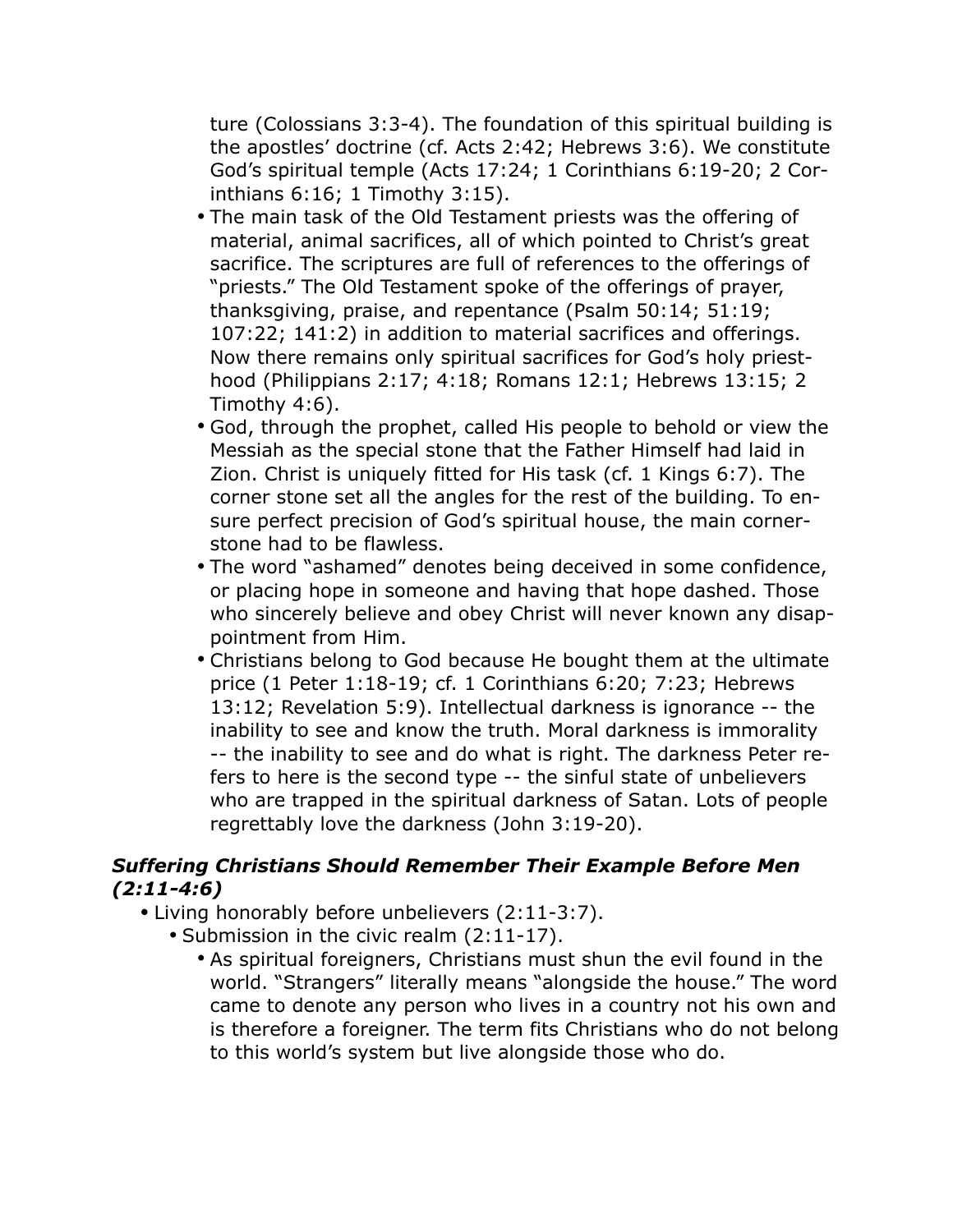ture (Colossians 3:3-4). The foundation of this spiritual building is the apostles' doctrine (cf. Acts 2:42; Hebrews 3:6). We constitute God's spiritual temple (Acts 17:24; 1 Corinthians 6:19-20; 2 Corinthians 6:16; 1 Timothy 3:15).

- The main task of the Old Testament priests was the offering of material, animal sacrifices, all of which pointed to Christ's great sacrifice. The scriptures are full of references to the offerings of "priests." The Old Testament spoke of the offerings of prayer, thanksgiving, praise, and repentance (Psalm 50:14; 51:19; 107:22; 141:2) in addition to material sacrifices and offerings. Now there remains only spiritual sacrifices for God's holy priesthood (Philippians 2:17; 4:18; Romans 12:1; Hebrews 13:15; 2 Timothy 4:6).
- God, through the prophet, called His people to behold or view the Messiah as the special stone that the Father Himself had laid in Zion. Christ is uniquely fitted for His task (cf. 1 Kings 6:7). The corner stone set all the angles for the rest of the building. To ensure perfect precision of God's spiritual house, the main cornerstone had to be flawless.
- The word "ashamed" denotes being deceived in some confidence, or placing hope in someone and having that hope dashed. Those who sincerely believe and obey Christ will never known any disappointment from Him.
- Christians belong to God because He bought them at the ultimate price (1 Peter 1:18-19; cf. 1 Corinthians 6:20; 7:23; Hebrews 13:12; Revelation 5:9). Intellectual darkness is ignorance -- the inability to see and know the truth. Moral darkness is immorality -- the inability to see and do what is right. The darkness Peter refers to here is the second type -- the sinful state of unbelievers who are trapped in the spiritual darkness of Satan. Lots of people regrettably love the darkness (John 3:19-20).

## *Suffering Christians Should Remember Their Example Before Men (2:11-4:6)*

- Living honorably before unbelievers (2:11-3:7).
	- Submission in the civic realm (2:11-17).
		- As spiritual foreigners, Christians must shun the evil found in the world. "Strangers" literally means "alongside the house." The word came to denote any person who lives in a country not his own and is therefore a foreigner. The term fits Christians who do not belong to this world's system but live alongside those who do.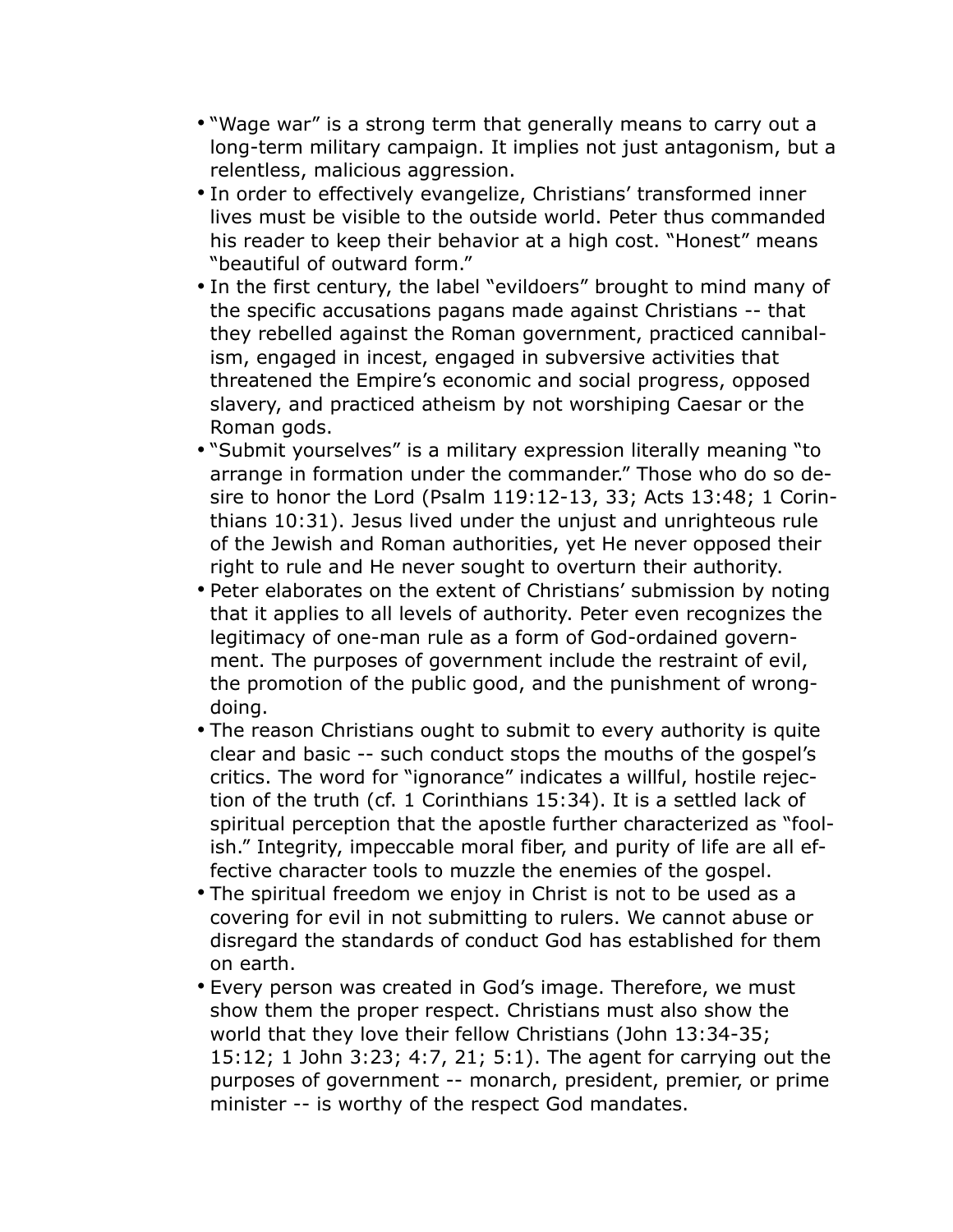- "Wage war" is a strong term that generally means to carry out a long-term military campaign. It implies not just antagonism, but a relentless, malicious aggression.
- In order to effectively evangelize, Christians' transformed inner lives must be visible to the outside world. Peter thus commanded his reader to keep their behavior at a high cost. "Honest" means "beautiful of outward form."
- In the first century, the label "evildoers" brought to mind many of the specific accusations pagans made against Christians -- that they rebelled against the Roman government, practiced cannibalism, engaged in incest, engaged in subversive activities that threatened the Empire's economic and social progress, opposed slavery, and practiced atheism by not worshiping Caesar or the Roman gods.
- "Submit yourselves" is a military expression literally meaning "to arrange in formation under the commander." Those who do so desire to honor the Lord (Psalm 119:12-13, 33; Acts 13:48; 1 Corinthians 10:31). Jesus lived under the unjust and unrighteous rule of the Jewish and Roman authorities, yet He never opposed their right to rule and He never sought to overturn their authority.
- Peter elaborates on the extent of Christians' submission by noting that it applies to all levels of authority. Peter even recognizes the legitimacy of one-man rule as a form of God-ordained government. The purposes of government include the restraint of evil, the promotion of the public good, and the punishment of wrongdoing.
- The reason Christians ought to submit to every authority is quite clear and basic -- such conduct stops the mouths of the gospel's critics. The word for "ignorance" indicates a willful, hostile rejection of the truth (cf. 1 Corinthians 15:34). It is a settled lack of spiritual perception that the apostle further characterized as "foolish." Integrity, impeccable moral fiber, and purity of life are all effective character tools to muzzle the enemies of the gospel.
- The spiritual freedom we enjoy in Christ is not to be used as a covering for evil in not submitting to rulers. We cannot abuse or disregard the standards of conduct God has established for them on earth.
- Every person was created in God's image. Therefore, we must show them the proper respect. Christians must also show the world that they love their fellow Christians (John 13:34-35; 15:12; 1 John 3:23; 4:7, 21; 5:1). The agent for carrying out the purposes of government -- monarch, president, premier, or prime minister -- is worthy of the respect God mandates.